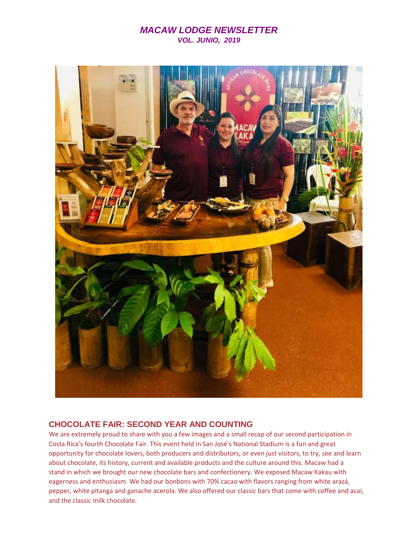## *MACAW LODGE NEWSLETTER VOL. JUNIO, 2019*



### **CHOCOLATE FAIR: SECOND YEAR AND COUNTING**

We are extremely proud to share with you a few images and a small recap of our second participation in Costa Rica's fourth Chocolate Fair. This event held in San José's National Stadium is a fun and great opportunity for chocolate lovers, both producers and distributors, or even just visitors, to try, see and learn about chocolate, its history, current and available products and the culture around this. Macaw had a stand in which we brought our new chocolate bars and confectionery. We exposed Macaw Kakau with eagerness and enthusiasm. We had our bonbons with 70% cacao with flavors ranging from white arazá, pepper, white pitanga and ganache acerola. We also offered our classic bars that come with coffee and acai, and the classic milk chocolate.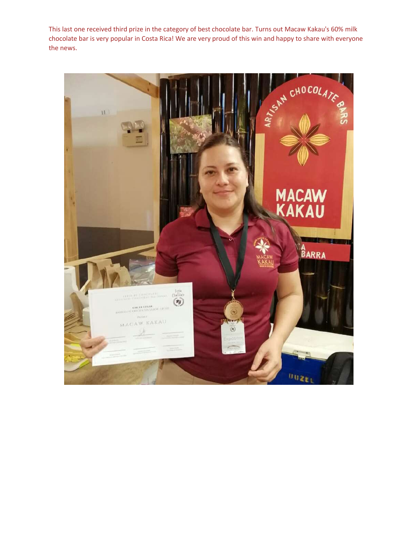This last one received third prize in the category of best chocolate bar. Turns out Macaw Kakau's 60% milk chocolate bar is very popular in Costa Rica! We are very proud of this win and happy to share with everyone the news.

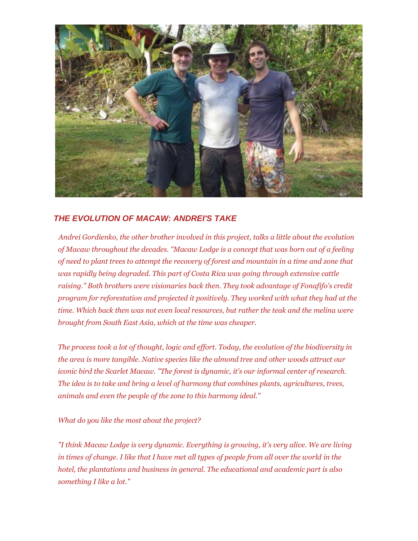

# *THE EVOLUTION OF MACAW: ANDREI'S TAKE*

*Andrei Gordienko, the other brother involved in this project, talks a little about the evolution of Macaw throughout the decades. "Macaw Lodge is a concept that was born out of a feeling of need to plant trees to attempt the recovery of forest and mountain in a time and zone that was rapidly being degraded. This part of Costa Rica was going through extensive cattle raising." Both brothers were visionaries back then. They took advantage of Fonafifo's credit program for reforestation and projected it positively. They worked with what they had at the time. Which back then was not even local resources, but rather the teak and the melina were brought from South East Asia, which at the time was cheaper.*

*The process took a lot of thought, logic and effort. Today, the evolution of the biodiversity in the area is more tangible. Native species like the almond tree and other woods attract our iconic bird the Scarlet Macaw. "The forest is dynamic, it's our informal center of research. The idea is to take and bring a level of harmony that combines plants, agricultures, trees, animals and even the people of the zone to this harmony ideal."*

*What do you like the most about the project?*

*"I think Macaw Lodge is very dynamic. Everything is growing, it's very alive. We are living in times of change. I like that I have met all types of people from all over the world in the hotel, the plantations and business in general. The educational and academic part is also something I like a lot."*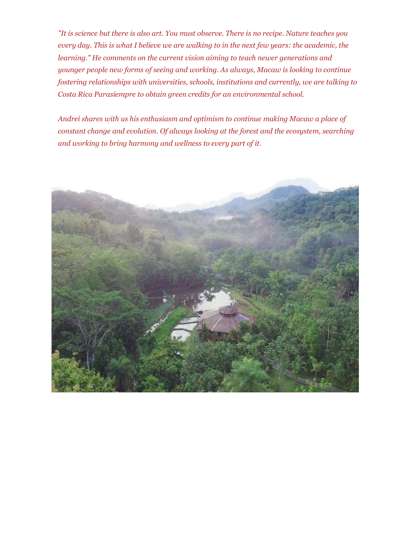*"It is science but there is also art. You must observe. There is no recipe. Nature teaches you every day. This is what I believe we are walking to in the next few years: the academic, the learning." He comments on the current vision aiming to teach newer generations and younger people new forms of seeing and working. As always, Macaw is looking to continue fostering relationships with universities, schools, institutions and currently, we are talking to Costa Rica Parasiempre to obtain green credits for an environmental school.*

*Andrei shares with us his enthusiasm and optimism to continue making Macaw a place of constant change and evolution. Of always looking at the forest and the ecosystem, searching and working to bring harmony and wellness to every part of it.*